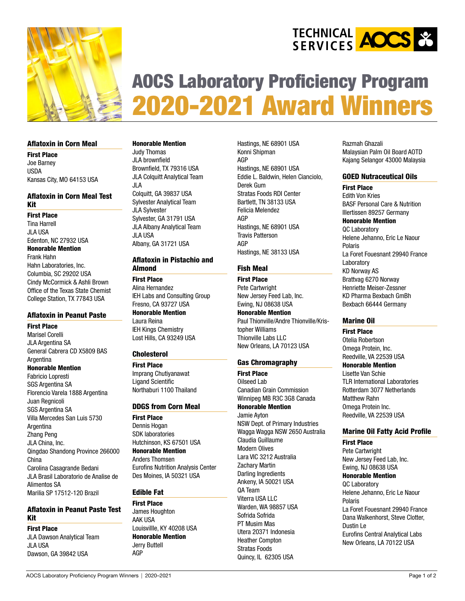



# [AOCS Laboratory Proficiency Program](https://www.aocs.org/attain-lab-services/laboratory-proficiency-program-(lpp))  2020-2021 Award Winners

#### Aflatoxin in Corn Meal

First Place Joe Barney USDA Kansas City, MO 64153 USA

# Aflatoxin in Corn Meal Test Kit

First Place Tina Harrell JLA USA Edenton, NC 27932 USA Honorable Mention Frank Hahn Hahn Laboratories, Inc. Columbia, SC 29202 USA Cindy McCormick & Ashli Brown Office of the Texas State Chemist College Station, TX 77843 USA

# Aflatoxin in Peanut Paste

First Place Marisel Corelli JLA Argentina SA General Cabrera CD X5809 BAS **Argentina** Honorable Mention Fabricio Lopresti SGS Argentina SA Florencio Varela 1888 Argentina Juan Regnicoli SGS Argentina SA Villa Mercedes San Luis 5730 Argentina Zhang Peng JLA China, Inc. Qingdao Shandong Province 266000

China Carolina Casagrande Bedani JLA Brasil Laboratorio de Analise de Alimentos SA Marilia SP 17512-120 Brazil

# Aflatoxin in Peanut Paste Test Kit

First Place JLA Dawson Analytical Team JLA USA Dawson, GA 39842 USA

#### Honorable Mention

Judy Thomas JLA brownfield Brownfield, TX 79316 USA JLA Colquitt Analytical Team JLA Colquitt, GA 39837 USA Sylvester Analytical Team JLA Sylvester Sylvester, GA 31791 USA JLA Albany Analytical Team JLA USA

Albany, GA 31721 USA

# Aflatoxin in Pistachio and Almond

First Place Alina Hernandez IEH Labs and Consulting Group Fresno, CA 93727 USA Honorable Mention Laura Reina IEH Kings Chemistry

# Cholesterol

First Place Imprang Chutiyanawat Ligand Scientific Northaburi 1100 Thailand

Lost Hills, CA 93249 USA

# DDGS from Corn Meal

First Place Dennis Hogan SDK laboratories Hutchinson, KS 67501 USA Honorable Mention Anders Thomsen Eurofins Nutrition Analysis Center Des Moines, IA 50321 USA

# Edible Fat

First Place James Houghton AAK USA Louisvillle, KY 40208 USA Honorable Mention Jerry Buttell AGP

Hastings, NE 68901 USA Konni Shipman AGP Hastings, NE 68901 USA Eddie L. Baldwin, Helen Cianciolo, Derek Gum Stratas Foods RDI Center Bartlett, TN 38133 USA Felicia Melendez AGP Hastings, NE 68901 USA Travis Patterson AGP Hastings, NE 38133 USA

# Fish Meal

First Place

Pete Cartwright New Jersey Feed Lab, Inc. Ewing, NJ 08638 USA Honorable Mention Paul Thionville/Andre Thionville/Kristopher Williams Thionville Labs LLC New Orleans, LA 70123 USA

# Gas Chromagraphy

First Place Oilseed Lab Canadian Grain Commission Winnipeg MB R3C 3G8 Canada Honorable Mention

Jamie Ayton NSW Dept. of Primary Industries Wagga Wagga NSW 2650 Australia Claudia Guillaume Modern Olives Lara VIC 3212 Australia Zachary Martin Darling Ingredients Ankeny, IA 50021 USA QA Team Viterra USA LLC Warden, WA 98857 USA Sofrida Sofrida PT Musim Mas Utera 20371 Indonesia Heather Compton Stratas Foods Quincy, IL 62305 USA

Razmah Ghazali Malaysian Palm Oil Board AOTD Kajang Selangor 43000 Malaysia

#### GOED Nutraceutical Oils

### First Place

Edith Von Kries BASF Personal Care & Nutrition Illertissen 89257 Germany Honorable Mention QC Laboratory Helene Jehanno, Eric Le Naour Polaris La Foret Fouesnant 29940 France Laboratory KD Norway AS Brattvag 6270 Norway Henriette Meiser-Zessner KD Pharma Bexbach GmBh Bexbach 66444 Germany

# Marine Oil

First Place Otelia Robertson Omega Protein, Inc. Reedville, VA 22539 USA Honorable Mention Lisette Van Schie TLR International Laboratories Rotterdam 3077 Netherlands Matthew Rahn Omega Protein Inc. Reedville, VA 22539 USA

# Marine Oil Fatty Acid Profile

First Place Pete Cartwright New Jersey Feed Lab, Inc. Ewing, NJ 08638 USA Honorable Mention QC Laboratory Helene Jehanno, Eric Le Naour Polaris La Foret Fouesnant 29940 France Dana Walkenhorst, Steve Clotter, Dustin Le Eurofins Central Analytical Labs New Orleans, LA 70122 USA